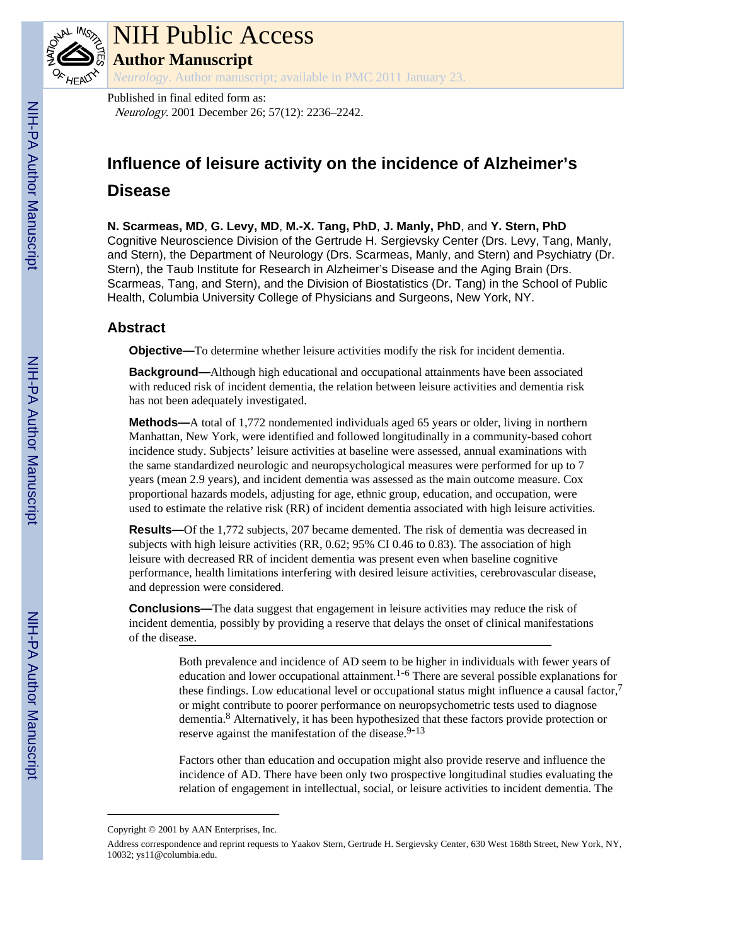

# NIH Public Access

**Author Manuscript**

*Neurology*. Author manuscript; available in PMC 2011 January 23.

Published in final edited form as: Neurology. 2001 December 26; 57(12): 2236–2242.

# **Influence of leisure activity on the incidence of Alzheimer's Disease**

**N. Scarmeas, MD**, **G. Levy, MD**, **M.-X. Tang, PhD**, **J. Manly, PhD**, and **Y. Stern, PhD** Cognitive Neuroscience Division of the Gertrude H. Sergievsky Center (Drs. Levy, Tang, Manly, and Stern), the Department of Neurology (Drs. Scarmeas, Manly, and Stern) and Psychiatry (Dr. Stern), the Taub Institute for Research in Alzheimer's Disease and the Aging Brain (Drs. Scarmeas, Tang, and Stern), and the Division of Biostatistics (Dr. Tang) in the School of Public Health, Columbia University College of Physicians and Surgeons, New York, NY.

# **Abstract**

**Objective—**To determine whether leisure activities modify the risk for incident dementia.

**Background—**Although high educational and occupational attainments have been associated with reduced risk of incident dementia, the relation between leisure activities and dementia risk has not been adequately investigated.

**Methods—**A total of 1,772 nondemented individuals aged 65 years or older, living in northern Manhattan, New York, were identified and followed longitudinally in a community-based cohort incidence study. Subjects' leisure activities at baseline were assessed, annual examinations with the same standardized neurologic and neuropsychological measures were performed for up to 7 years (mean 2.9 years), and incident dementia was assessed as the main outcome measure. Cox proportional hazards models, adjusting for age, ethnic group, education, and occupation, were used to estimate the relative risk (RR) of incident dementia associated with high leisure activities.

**Results—**Of the 1,772 subjects, 207 became demented. The risk of dementia was decreased in subjects with high leisure activities (RR, 0.62; 95% CI 0.46 to 0.83). The association of high leisure with decreased RR of incident dementia was present even when baseline cognitive performance, health limitations interfering with desired leisure activities, cerebrovascular disease, and depression were considered.

**Conclusions—**The data suggest that engagement in leisure activities may reduce the risk of incident dementia, possibly by providing a reserve that delays the onset of clinical manifestations of the disease.

> Both prevalence and incidence of AD seem to be higher in individuals with fewer years of education and lower occupational attainment.<sup>1-6</sup> There are several possible explanations for these findings. Low educational level or occupational status might influence a causal factor, $7$ or might contribute to poorer performance on neuropsychometric tests used to diagnose dementia.<sup>8</sup> Alternatively, it has been hypothesized that these factors provide protection or reserve against the manifestation of the disease. $9-13$

Factors other than education and occupation might also provide reserve and influence the incidence of AD. There have been only two prospective longitudinal studies evaluating the relation of engagement in intellectual, social, or leisure activities to incident dementia. The

Copyright © 2001 by AAN Enterprises, Inc.

Address correspondence and reprint requests to Yaakov Stern, Gertrude H. Sergievsky Center, 630 West 168th Street, New York, NY, 10032; ys11@columbia.edu.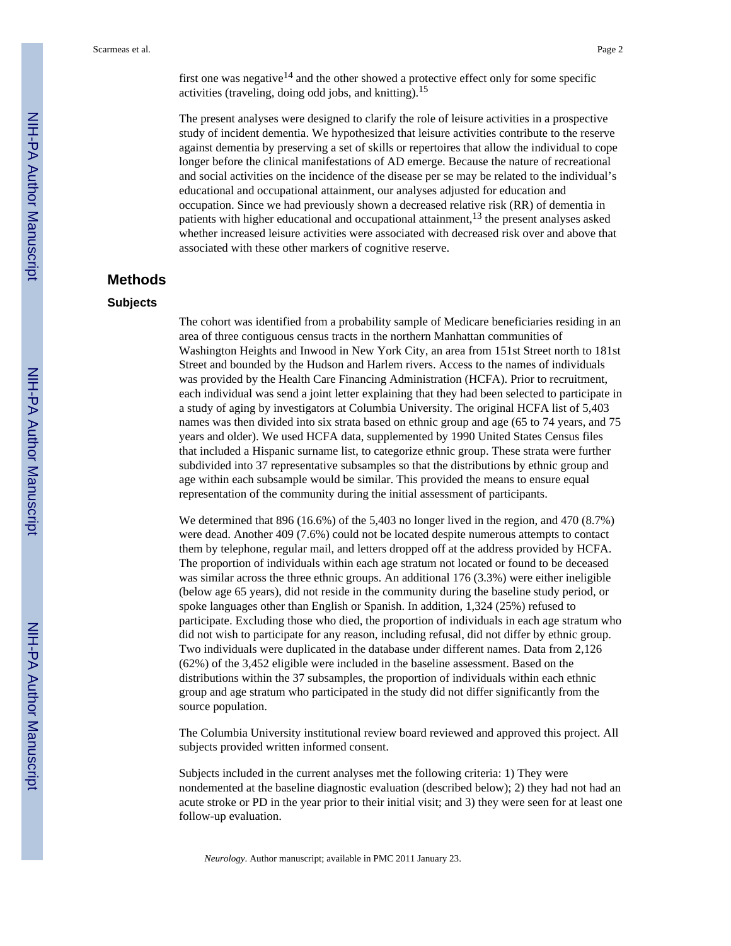The present analyses were designed to clarify the role of leisure activities in a prospective study of incident dementia. We hypothesized that leisure activities contribute to the reserve against dementia by preserving a set of skills or repertoires that allow the individual to cope longer before the clinical manifestations of AD emerge. Because the nature of recreational and social activities on the incidence of the disease per se may be related to the individual's educational and occupational attainment, our analyses adjusted for education and occupation. Since we had previously shown a decreased relative risk (RR) of dementia in patients with higher educational and occupational attainment, $13$  the present analyses asked whether increased leisure activities were associated with decreased risk over and above that associated with these other markers of cognitive reserve.

## **Methods**

#### **Subjects**

The cohort was identified from a probability sample of Medicare beneficiaries residing in an area of three contiguous census tracts in the northern Manhattan communities of Washington Heights and Inwood in New York City, an area from 151st Street north to 181st Street and bounded by the Hudson and Harlem rivers. Access to the names of individuals was provided by the Health Care Financing Administration (HCFA). Prior to recruitment, each individual was send a joint letter explaining that they had been selected to participate in a study of aging by investigators at Columbia University. The original HCFA list of 5,403 names was then divided into six strata based on ethnic group and age (65 to 74 years, and 75 years and older). We used HCFA data, supplemented by 1990 United States Census files that included a Hispanic surname list, to categorize ethnic group. These strata were further subdivided into 37 representative subsamples so that the distributions by ethnic group and age within each subsample would be similar. This provided the means to ensure equal representation of the community during the initial assessment of participants.

We determined that 896 (16.6%) of the 5,403 no longer lived in the region, and 470 (8.7%) were dead. Another 409 (7.6%) could not be located despite numerous attempts to contact them by telephone, regular mail, and letters dropped off at the address provided by HCFA. The proportion of individuals within each age stratum not located or found to be deceased was similar across the three ethnic groups. An additional 176 (3.3%) were either ineligible (below age 65 years), did not reside in the community during the baseline study period, or spoke languages other than English or Spanish. In addition, 1,324 (25%) refused to participate. Excluding those who died, the proportion of individuals in each age stratum who did not wish to participate for any reason, including refusal, did not differ by ethnic group. Two individuals were duplicated in the database under different names. Data from 2,126 (62%) of the 3,452 eligible were included in the baseline assessment. Based on the distributions within the 37 subsamples, the proportion of individuals within each ethnic group and age stratum who participated in the study did not differ significantly from the source population.

The Columbia University institutional review board reviewed and approved this project. All subjects provided written informed consent.

Subjects included in the current analyses met the following criteria: 1) They were nondemented at the baseline diagnostic evaluation (described below); 2) they had not had an acute stroke or PD in the year prior to their initial visit; and 3) they were seen for at least one follow-up evaluation.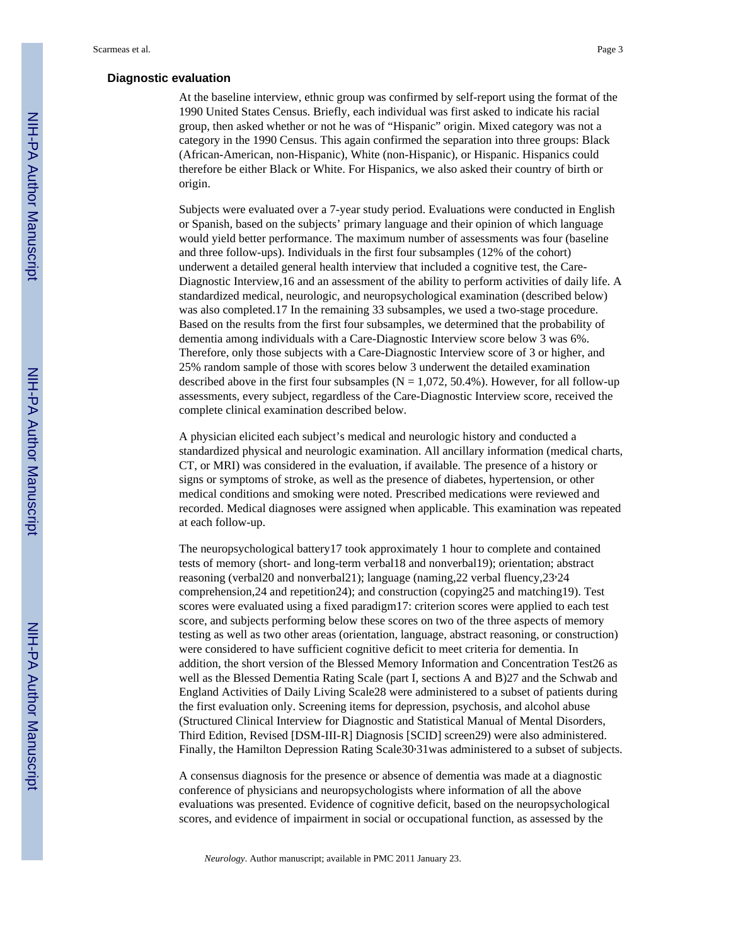#### **Diagnostic evaluation**

At the baseline interview, ethnic group was confirmed by self-report using the format of the 1990 United States Census. Briefly, each individual was first asked to indicate his racial group, then asked whether or not he was of "Hispanic" origin. Mixed category was not a category in the 1990 Census. This again confirmed the separation into three groups: Black (African-American, non-Hispanic), White (non-Hispanic), or Hispanic. Hispanics could therefore be either Black or White. For Hispanics, we also asked their country of birth or origin.

Subjects were evaluated over a 7-year study period. Evaluations were conducted in English or Spanish, based on the subjects' primary language and their opinion of which language would yield better performance. The maximum number of assessments was four (baseline and three follow-ups). Individuals in the first four subsamples (12% of the cohort) underwent a detailed general health interview that included a cognitive test, the Care-Diagnostic Interview,16 and an assessment of the ability to perform activities of daily life. A standardized medical, neurologic, and neuropsychological examination (described below) was also completed.17 In the remaining 33 subsamples, we used a two-stage procedure. Based on the results from the first four subsamples, we determined that the probability of dementia among individuals with a Care-Diagnostic Interview score below 3 was 6%. Therefore, only those subjects with a Care-Diagnostic Interview score of 3 or higher, and 25% random sample of those with scores below 3 underwent the detailed examination described above in the first four subsamples ( $N = 1.072$ , 50.4%). However, for all follow-up assessments, every subject, regardless of the Care-Diagnostic Interview score, received the complete clinical examination described below.

A physician elicited each subject's medical and neurologic history and conducted a standardized physical and neurologic examination. All ancillary information (medical charts, CT, or MRI) was considered in the evaluation, if available. The presence of a history or signs or symptoms of stroke, as well as the presence of diabetes, hypertension, or other medical conditions and smoking were noted. Prescribed medications were reviewed and recorded. Medical diagnoses were assigned when applicable. This examination was repeated at each follow-up.

The neuropsychological battery17 took approximately 1 hour to complete and contained tests of memory (short- and long-term verbal18 and nonverbal19); orientation; abstract reasoning (verbal20 and nonverbal21); language (naming,22 verbal fluency,23,24 comprehension,24 and repetition24); and construction (copying25 and matching19). Test scores were evaluated using a fixed paradigm17: criterion scores were applied to each test score, and subjects performing below these scores on two of the three aspects of memory testing as well as two other areas (orientation, language, abstract reasoning, or construction) were considered to have sufficient cognitive deficit to meet criteria for dementia. In addition, the short version of the Blessed Memory Information and Concentration Test26 as well as the Blessed Dementia Rating Scale (part I, sections A and B)27 and the Schwab and England Activities of Daily Living Scale28 were administered to a subset of patients during the first evaluation only. Screening items for depression, psychosis, and alcohol abuse (Structured Clinical Interview for Diagnostic and Statistical Manual of Mental Disorders, Third Edition, Revised [DSM-III-R] Diagnosis [SCID] screen29) were also administered. Finally, the Hamilton Depression Rating Scale30,31was administered to a subset of subjects.

A consensus diagnosis for the presence or absence of dementia was made at a diagnostic conference of physicians and neuropsychologists where information of all the above evaluations was presented. Evidence of cognitive deficit, based on the neuropsychological scores, and evidence of impairment in social or occupational function, as assessed by the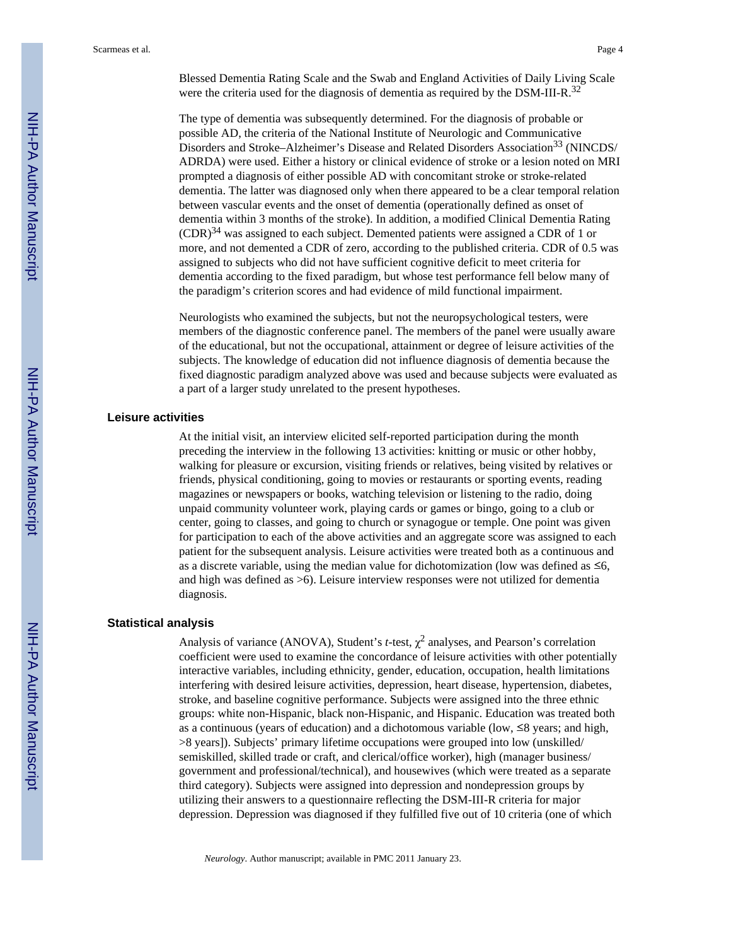Blessed Dementia Rating Scale and the Swab and England Activities of Daily Living Scale were the criteria used for the diagnosis of dementia as required by the DSM-III-R.<sup>32</sup>

The type of dementia was subsequently determined. For the diagnosis of probable or possible AD, the criteria of the National Institute of Neurologic and Communicative Disorders and Stroke–Alzheimer's Disease and Related Disorders Association33 (NINCDS/ ADRDA) were used. Either a history or clinical evidence of stroke or a lesion noted on MRI prompted a diagnosis of either possible AD with concomitant stroke or stroke-related dementia. The latter was diagnosed only when there appeared to be a clear temporal relation between vascular events and the onset of dementia (operationally defined as onset of dementia within 3 months of the stroke). In addition, a modified Clinical Dementia Rating  $(CDR)^{34}$  was assigned to each subject. Demented patients were assigned a CDR of 1 or more, and not demented a CDR of zero, according to the published criteria. CDR of 0.5 was assigned to subjects who did not have sufficient cognitive deficit to meet criteria for dementia according to the fixed paradigm, but whose test performance fell below many of the paradigm's criterion scores and had evidence of mild functional impairment.

Neurologists who examined the subjects, but not the neuropsychological testers, were members of the diagnostic conference panel. The members of the panel were usually aware of the educational, but not the occupational, attainment or degree of leisure activities of the subjects. The knowledge of education did not influence diagnosis of dementia because the fixed diagnostic paradigm analyzed above was used and because subjects were evaluated as a part of a larger study unrelated to the present hypotheses.

#### **Leisure activities**

At the initial visit, an interview elicited self-reported participation during the month preceding the interview in the following 13 activities: knitting or music or other hobby, walking for pleasure or excursion, visiting friends or relatives, being visited by relatives or friends, physical conditioning, going to movies or restaurants or sporting events, reading magazines or newspapers or books, watching television or listening to the radio, doing unpaid community volunteer work, playing cards or games or bingo, going to a club or center, going to classes, and going to church or synagogue or temple. One point was given for participation to each of the above activities and an aggregate score was assigned to each patient for the subsequent analysis. Leisure activities were treated both as a continuous and as a discrete variable, using the median value for dichotomization (low was defined as  $\leq 6$ , and high was defined as >6). Leisure interview responses were not utilized for dementia diagnosis.

#### **Statistical analysis**

Analysis of variance (ANOVA), Student's *t*-test,  $\chi^2$  analyses, and Pearson's correlation coefficient were used to examine the concordance of leisure activities with other potentially interactive variables, including ethnicity, gender, education, occupation, health limitations interfering with desired leisure activities, depression, heart disease, hypertension, diabetes, stroke, and baseline cognitive performance. Subjects were assigned into the three ethnic groups: white non-Hispanic, black non-Hispanic, and Hispanic. Education was treated both as a continuous (years of education) and a dichotomous variable (low,  $\leq 8$  years; and high, >8 years]). Subjects' primary lifetime occupations were grouped into low (unskilled/ semiskilled, skilled trade or craft, and clerical/office worker), high (manager business/ government and professional/technical), and housewives (which were treated as a separate third category). Subjects were assigned into depression and nondepression groups by utilizing their answers to a questionnaire reflecting the DSM-III-R criteria for major depression. Depression was diagnosed if they fulfilled five out of 10 criteria (one of which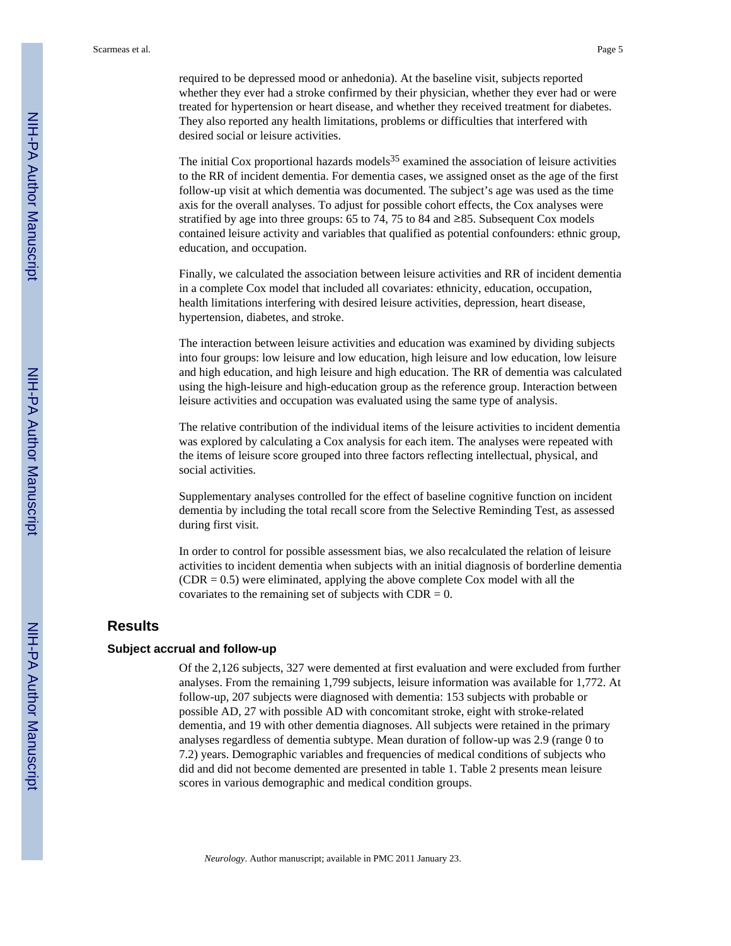required to be depressed mood or anhedonia). At the baseline visit, subjects reported whether they ever had a stroke confirmed by their physician, whether they ever had or were treated for hypertension or heart disease, and whether they received treatment for diabetes. They also reported any health limitations, problems or difficulties that interfered with desired social or leisure activities.

The initial Cox proportional hazards models<sup>35</sup> examined the association of leisure activities to the RR of incident dementia. For dementia cases, we assigned onset as the age of the first follow-up visit at which dementia was documented. The subject's age was used as the time axis for the overall analyses. To adjust for possible cohort effects, the Cox analyses were stratified by age into three groups: 65 to 74, 75 to 84 and  $\geq$ 85. Subsequent Cox models contained leisure activity and variables that qualified as potential confounders: ethnic group, education, and occupation.

Finally, we calculated the association between leisure activities and RR of incident dementia in a complete Cox model that included all covariates: ethnicity, education, occupation, health limitations interfering with desired leisure activities, depression, heart disease, hypertension, diabetes, and stroke.

The interaction between leisure activities and education was examined by dividing subjects into four groups: low leisure and low education, high leisure and low education, low leisure and high education, and high leisure and high education. The RR of dementia was calculated using the high-leisure and high-education group as the reference group. Interaction between leisure activities and occupation was evaluated using the same type of analysis.

The relative contribution of the individual items of the leisure activities to incident dementia was explored by calculating a Cox analysis for each item. The analyses were repeated with the items of leisure score grouped into three factors reflecting intellectual, physical, and social activities.

Supplementary analyses controlled for the effect of baseline cognitive function on incident dementia by including the total recall score from the Selective Reminding Test, as assessed during first visit.

In order to control for possible assessment bias, we also recalculated the relation of leisure activities to incident dementia when subjects with an initial diagnosis of borderline dementia  $(CDR = 0.5)$  were eliminated, applying the above complete Cox model with all the covariates to the remaining set of subjects with  $CDR = 0$ .

# **Results**

#### **Subject accrual and follow-up**

Of the 2,126 subjects, 327 were demented at first evaluation and were excluded from further analyses. From the remaining 1,799 subjects, leisure information was available for 1,772. At follow-up, 207 subjects were diagnosed with dementia: 153 subjects with probable or possible AD, 27 with possible AD with concomitant stroke, eight with stroke-related dementia, and 19 with other dementia diagnoses. All subjects were retained in the primary analyses regardless of dementia subtype. Mean duration of follow-up was 2.9 (range 0 to 7.2) years. Demographic variables and frequencies of medical conditions of subjects who did and did not become demented are presented in table 1. Table 2 presents mean leisure scores in various demographic and medical condition groups.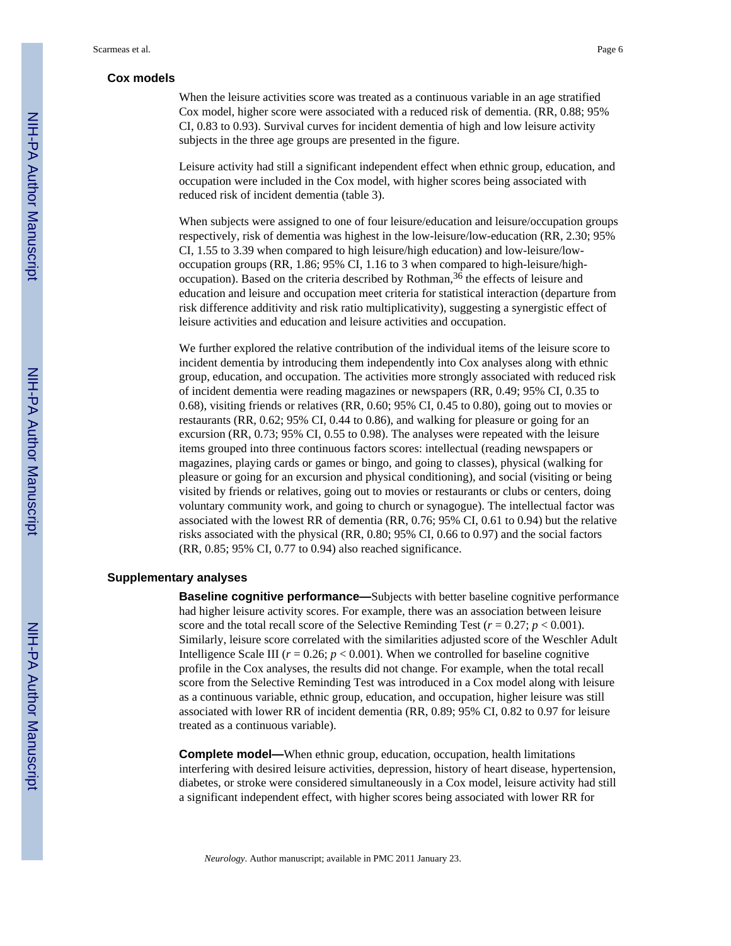## **Cox models**

When the leisure activities score was treated as a continuous variable in an age stratified Cox model, higher score were associated with a reduced risk of dementia. (RR, 0.88; 95% CI, 0.83 to 0.93). Survival curves for incident dementia of high and low leisure activity subjects in the three age groups are presented in the figure.

Leisure activity had still a significant independent effect when ethnic group, education, and occupation were included in the Cox model, with higher scores being associated with reduced risk of incident dementia (table 3).

When subjects were assigned to one of four leisure/education and leisure/occupation groups respectively, risk of dementia was highest in the low-leisure/low-education (RR, 2.30; 95% CI, 1.55 to 3.39 when compared to high leisure/high education) and low-leisure/lowoccupation groups (RR, 1.86; 95% CI, 1.16 to 3 when compared to high-leisure/highoccupation). Based on the criteria described by Rothman,<sup>36</sup> the effects of leisure and education and leisure and occupation meet criteria for statistical interaction (departure from risk difference additivity and risk ratio multiplicativity), suggesting a synergistic effect of leisure activities and education and leisure activities and occupation.

We further explored the relative contribution of the individual items of the leisure score to incident dementia by introducing them independently into Cox analyses along with ethnic group, education, and occupation. The activities more strongly associated with reduced risk of incident dementia were reading magazines or newspapers (RR, 0.49; 95% CI, 0.35 to 0.68), visiting friends or relatives (RR, 0.60; 95% CI, 0.45 to 0.80), going out to movies or restaurants (RR, 0.62; 95% CI, 0.44 to 0.86), and walking for pleasure or going for an excursion (RR, 0.73; 95% CI, 0.55 to 0.98). The analyses were repeated with the leisure items grouped into three continuous factors scores: intellectual (reading newspapers or magazines, playing cards or games or bingo, and going to classes), physical (walking for pleasure or going for an excursion and physical conditioning), and social (visiting or being visited by friends or relatives, going out to movies or restaurants or clubs or centers, doing voluntary community work, and going to church or synagogue). The intellectual factor was associated with the lowest RR of dementia (RR, 0.76; 95% CI, 0.61 to 0.94) but the relative risks associated with the physical (RR, 0.80; 95% CI, 0.66 to 0.97) and the social factors (RR, 0.85; 95% CI, 0.77 to 0.94) also reached significance.

#### **Supplementary analyses**

**Baseline cognitive performance—**Subjects with better baseline cognitive performance had higher leisure activity scores. For example, there was an association between leisure score and the total recall score of the Selective Reminding Test  $(r = 0.27; p < 0.001)$ . Similarly, leisure score correlated with the similarities adjusted score of the Weschler Adult Intelligence Scale III ( $r = 0.26$ ;  $p < 0.001$ ). When we controlled for baseline cognitive profile in the Cox analyses, the results did not change. For example, when the total recall score from the Selective Reminding Test was introduced in a Cox model along with leisure as a continuous variable, ethnic group, education, and occupation, higher leisure was still associated with lower RR of incident dementia (RR, 0.89; 95% CI, 0.82 to 0.97 for leisure treated as a continuous variable).

**Complete model—**When ethnic group, education, occupation, health limitations interfering with desired leisure activities, depression, history of heart disease, hypertension, diabetes, or stroke were considered simultaneously in a Cox model, leisure activity had still a significant independent effect, with higher scores being associated with lower RR for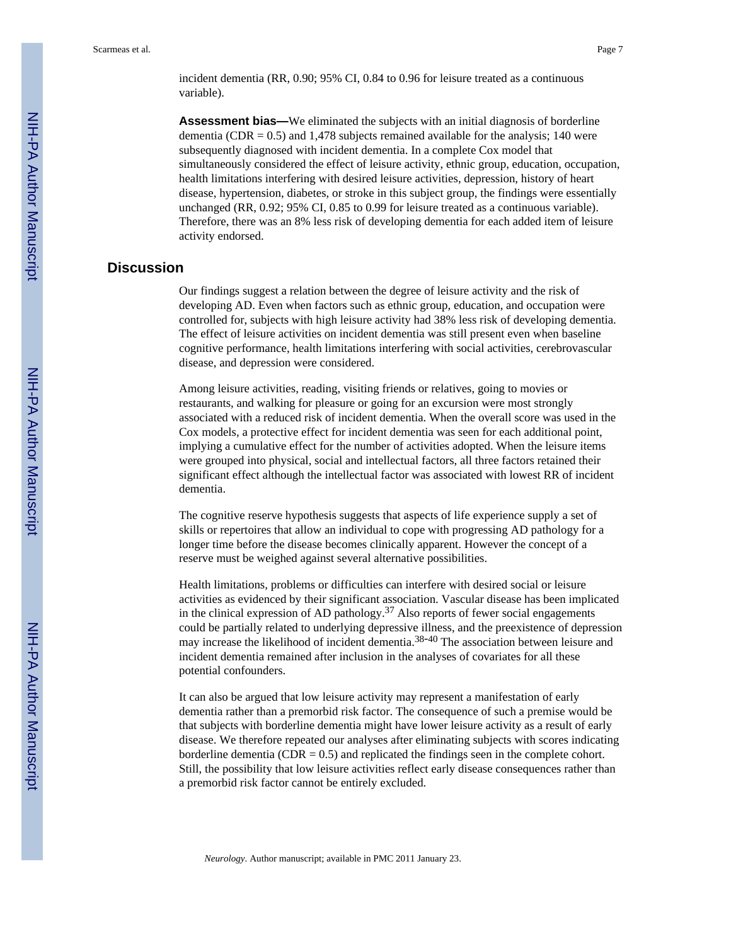incident dementia (RR, 0.90; 95% CI, 0.84 to 0.96 for leisure treated as a continuous variable).

**Assessment bias—**We eliminated the subjects with an initial diagnosis of borderline dementia (CDR =  $0.5$ ) and 1,478 subjects remained available for the analysis; 140 were subsequently diagnosed with incident dementia. In a complete Cox model that simultaneously considered the effect of leisure activity, ethnic group, education, occupation, health limitations interfering with desired leisure activities, depression, history of heart disease, hypertension, diabetes, or stroke in this subject group, the findings were essentially unchanged (RR, 0.92; 95% CI, 0.85 to 0.99 for leisure treated as a continuous variable). Therefore, there was an 8% less risk of developing dementia for each added item of leisure activity endorsed.

## **Discussion**

Our findings suggest a relation between the degree of leisure activity and the risk of developing AD. Even when factors such as ethnic group, education, and occupation were controlled for, subjects with high leisure activity had 38% less risk of developing dementia. The effect of leisure activities on incident dementia was still present even when baseline cognitive performance, health limitations interfering with social activities, cerebrovascular disease, and depression were considered.

Among leisure activities, reading, visiting friends or relatives, going to movies or restaurants, and walking for pleasure or going for an excursion were most strongly associated with a reduced risk of incident dementia. When the overall score was used in the Cox models, a protective effect for incident dementia was seen for each additional point, implying a cumulative effect for the number of activities adopted. When the leisure items were grouped into physical, social and intellectual factors, all three factors retained their significant effect although the intellectual factor was associated with lowest RR of incident dementia.

The cognitive reserve hypothesis suggests that aspects of life experience supply a set of skills or repertoires that allow an individual to cope with progressing AD pathology for a longer time before the disease becomes clinically apparent. However the concept of a reserve must be weighed against several alternative possibilities.

Health limitations, problems or difficulties can interfere with desired social or leisure activities as evidenced by their significant association. Vascular disease has been implicated in the clinical expression of AD pathology.<sup>37</sup> Also reports of fewer social engagements could be partially related to underlying depressive illness, and the preexistence of depression may increase the likelihood of incident dementia.38-40 The association between leisure and incident dementia remained after inclusion in the analyses of covariates for all these potential confounders.

It can also be argued that low leisure activity may represent a manifestation of early dementia rather than a premorbid risk factor. The consequence of such a premise would be that subjects with borderline dementia might have lower leisure activity as a result of early disease. We therefore repeated our analyses after eliminating subjects with scores indicating borderline dementia ( $CDR = 0.5$ ) and replicated the findings seen in the complete cohort. Still, the possibility that low leisure activities reflect early disease consequences rather than a premorbid risk factor cannot be entirely excluded.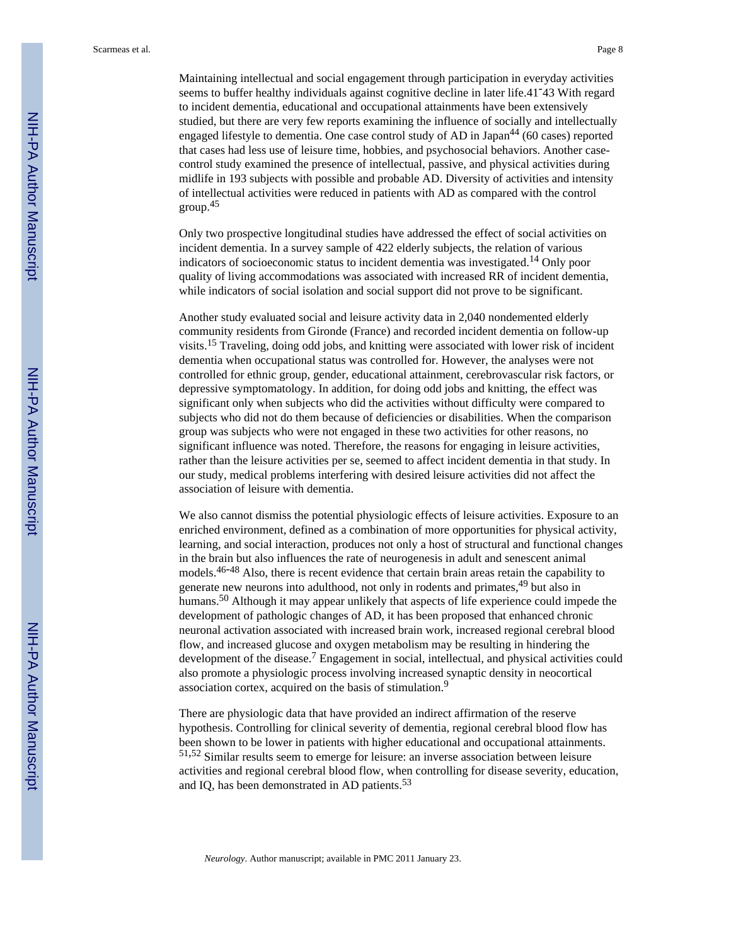Maintaining intellectual and social engagement through participation in everyday activities seems to buffer healthy individuals against cognitive decline in later life.41-43 With regard to incident dementia, educational and occupational attainments have been extensively studied, but there are very few reports examining the influence of socially and intellectually engaged lifestyle to dementia. One case control study of AD in Japan<sup>44</sup> (60 cases) reported that cases had less use of leisure time, hobbies, and psychosocial behaviors. Another casecontrol study examined the presence of intellectual, passive, and physical activities during midlife in 193 subjects with possible and probable AD. Diversity of activities and intensity of intellectual activities were reduced in patients with AD as compared with the control group.<sup>45</sup>

Only two prospective longitudinal studies have addressed the effect of social activities on incident dementia. In a survey sample of 422 elderly subjects, the relation of various indicators of socioeconomic status to incident dementia was investigated.14 Only poor quality of living accommodations was associated with increased RR of incident dementia, while indicators of social isolation and social support did not prove to be significant.

Another study evaluated social and leisure activity data in 2,040 nondemented elderly community residents from Gironde (France) and recorded incident dementia on follow-up visits.15 Traveling, doing odd jobs, and knitting were associated with lower risk of incident dementia when occupational status was controlled for. However, the analyses were not controlled for ethnic group, gender, educational attainment, cerebrovascular risk factors, or depressive symptomatology. In addition, for doing odd jobs and knitting, the effect was significant only when subjects who did the activities without difficulty were compared to subjects who did not do them because of deficiencies or disabilities. When the comparison group was subjects who were not engaged in these two activities for other reasons, no significant influence was noted. Therefore, the reasons for engaging in leisure activities, rather than the leisure activities per se, seemed to affect incident dementia in that study. In our study, medical problems interfering with desired leisure activities did not affect the association of leisure with dementia.

We also cannot dismiss the potential physiologic effects of leisure activities. Exposure to an enriched environment, defined as a combination of more opportunities for physical activity, learning, and social interaction, produces not only a host of structural and functional changes in the brain but also influences the rate of neurogenesis in adult and senescent animal models.46-48 Also, there is recent evidence that certain brain areas retain the capability to generate new neurons into adulthood, not only in rodents and primates,49 but also in humans.<sup>50</sup> Although it may appear unlikely that aspects of life experience could impede the development of pathologic changes of AD, it has been proposed that enhanced chronic neuronal activation associated with increased brain work, increased regional cerebral blood flow, and increased glucose and oxygen metabolism may be resulting in hindering the development of the disease.<sup>7</sup> Engagement in social, intellectual, and physical activities could also promote a physiologic process involving increased synaptic density in neocortical association cortex, acquired on the basis of stimulation.<sup>9</sup>

There are physiologic data that have provided an indirect affirmation of the reserve hypothesis. Controlling for clinical severity of dementia, regional cerebral blood flow has been shown to be lower in patients with higher educational and occupational attainments. <sup>51</sup>,52 Similar results seem to emerge for leisure: an inverse association between leisure activities and regional cerebral blood flow, when controlling for disease severity, education, and IQ, has been demonstrated in AD patients.<sup>53</sup>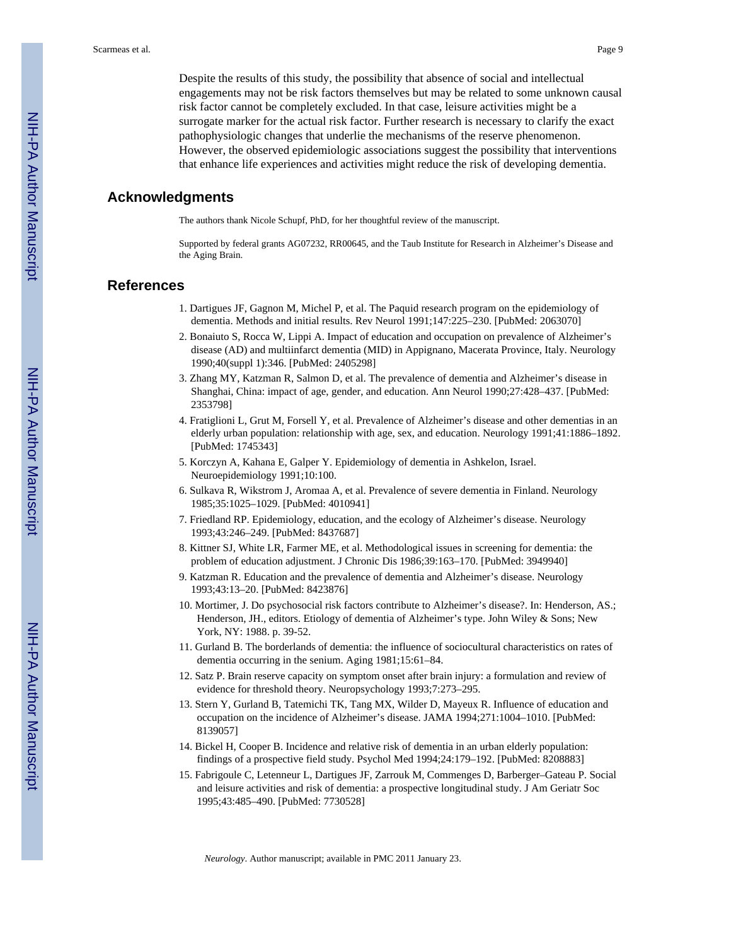Despite the results of this study, the possibility that absence of social and intellectual engagements may not be risk factors themselves but may be related to some unknown causal risk factor cannot be completely excluded. In that case, leisure activities might be a surrogate marker for the actual risk factor. Further research is necessary to clarify the exact pathophysiologic changes that underlie the mechanisms of the reserve phenomenon. However, the observed epidemiologic associations suggest the possibility that interventions that enhance life experiences and activities might reduce the risk of developing dementia.

### **Acknowledgments**

The authors thank Nicole Schupf, PhD, for her thoughtful review of the manuscript.

Supported by federal grants AG07232, RR00645, and the Taub Institute for Research in Alzheimer's Disease and the Aging Brain.

### **References**

- 1. Dartigues JF, Gagnon M, Michel P, et al. The Paquid research program on the epidemiology of dementia. Methods and initial results. Rev Neurol 1991;147:225–230. [PubMed: 2063070]
- 2. Bonaiuto S, Rocca W, Lippi A. Impact of education and occupation on prevalence of Alzheimer's disease (AD) and multiinfarct dementia (MID) in Appignano, Macerata Province, Italy. Neurology 1990;40(suppl 1):346. [PubMed: 2405298]
- 3. Zhang MY, Katzman R, Salmon D, et al. The prevalence of dementia and Alzheimer's disease in Shanghai, China: impact of age, gender, and education. Ann Neurol 1990;27:428–437. [PubMed: 2353798]
- 4. Fratiglioni L, Grut M, Forsell Y, et al. Prevalence of Alzheimer's disease and other dementias in an elderly urban population: relationship with age, sex, and education. Neurology 1991;41:1886–1892. [PubMed: 1745343]
- 5. Korczyn A, Kahana E, Galper Y. Epidemiology of dementia in Ashkelon, Israel. Neuroepidemiology 1991;10:100.
- 6. Sulkava R, Wikstrom J, Aromaa A, et al. Prevalence of severe dementia in Finland. Neurology 1985;35:1025–1029. [PubMed: 4010941]
- 7. Friedland RP. Epidemiology, education, and the ecology of Alzheimer's disease. Neurology 1993;43:246–249. [PubMed: 8437687]
- 8. Kittner SJ, White LR, Farmer ME, et al. Methodological issues in screening for dementia: the problem of education adjustment. J Chronic Dis 1986;39:163–170. [PubMed: 3949940]
- 9. Katzman R. Education and the prevalence of dementia and Alzheimer's disease. Neurology 1993;43:13–20. [PubMed: 8423876]
- 10. Mortimer, J. Do psychosocial risk factors contribute to Alzheimer's disease?. In: Henderson, AS.; Henderson, JH., editors. Etiology of dementia of Alzheimer's type. John Wiley & Sons; New York, NY: 1988. p. 39-52.
- 11. Gurland B. The borderlands of dementia: the influence of sociocultural characteristics on rates of dementia occurring in the senium. Aging 1981;15:61–84.
- 12. Satz P. Brain reserve capacity on symptom onset after brain injury: a formulation and review of evidence for threshold theory. Neuropsychology 1993;7:273–295.
- 13. Stern Y, Gurland B, Tatemichi TK, Tang MX, Wilder D, Mayeux R. Influence of education and occupation on the incidence of Alzheimer's disease. JAMA 1994;271:1004–1010. [PubMed: 8139057]
- 14. Bickel H, Cooper B. Incidence and relative risk of dementia in an urban elderly population: findings of a prospective field study. Psychol Med 1994;24:179–192. [PubMed: 8208883]
- 15. Fabrigoule C, Letenneur L, Dartigues JF, Zarrouk M, Commenges D, Barberger–Gateau P. Social and leisure activities and risk of dementia: a prospective longitudinal study. J Am Geriatr Soc 1995;43:485–490. [PubMed: 7730528]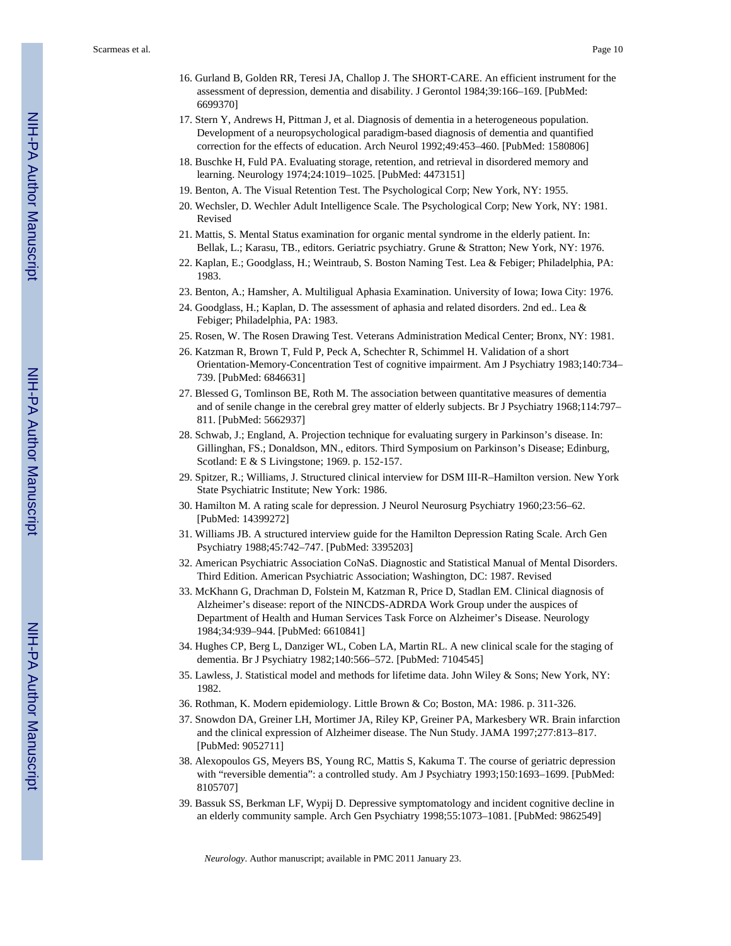- 16. Gurland B, Golden RR, Teresi JA, Challop J. The SHORT-CARE. An efficient instrument for the assessment of depression, dementia and disability. J Gerontol 1984;39:166–169. [PubMed: 6699370]
- 17. Stern Y, Andrews H, Pittman J, et al. Diagnosis of dementia in a heterogeneous population. Development of a neuropsychological paradigm-based diagnosis of dementia and quantified correction for the effects of education. Arch Neurol 1992;49:453–460. [PubMed: 1580806]
- 18. Buschke H, Fuld PA. Evaluating storage, retention, and retrieval in disordered memory and learning. Neurology 1974;24:1019–1025. [PubMed: 4473151]
- 19. Benton, A. The Visual Retention Test. The Psychological Corp; New York, NY: 1955.
- 20. Wechsler, D. Wechler Adult Intelligence Scale. The Psychological Corp; New York, NY: 1981. Revised
- 21. Mattis, S. Mental Status examination for organic mental syndrome in the elderly patient. In: Bellak, L.; Karasu, TB., editors. Geriatric psychiatry. Grune & Stratton; New York, NY: 1976.
- 22. Kaplan, E.; Goodglass, H.; Weintraub, S. Boston Naming Test. Lea & Febiger; Philadelphia, PA: 1983.
- 23. Benton, A.; Hamsher, A. Multiligual Aphasia Examination. University of Iowa; Iowa City: 1976.
- 24. Goodglass, H.; Kaplan, D. The assessment of aphasia and related disorders. 2nd ed.. Lea & Febiger; Philadelphia, PA: 1983.
- 25. Rosen, W. The Rosen Drawing Test. Veterans Administration Medical Center; Bronx, NY: 1981.
- 26. Katzman R, Brown T, Fuld P, Peck A, Schechter R, Schimmel H. Validation of a short Orientation-Memory-Concentration Test of cognitive impairment. Am J Psychiatry 1983;140:734– 739. [PubMed: 6846631]
- 27. Blessed G, Tomlinson BE, Roth M. The association between quantitative measures of dementia and of senile change in the cerebral grey matter of elderly subjects. Br J Psychiatry 1968;114:797– 811. [PubMed: 5662937]
- 28. Schwab, J.; England, A. Projection technique for evaluating surgery in Parkinson's disease. In: Gillinghan, FS.; Donaldson, MN., editors. Third Symposium on Parkinson's Disease; Edinburg, Scotland: E & S Livingstone; 1969. p. 152-157.
- 29. Spitzer, R.; Williams, J. Structured clinical interview for DSM III-R–Hamilton version. New York State Psychiatric Institute; New York: 1986.
- 30. Hamilton M. A rating scale for depression. J Neurol Neurosurg Psychiatry 1960;23:56–62. [PubMed: 14399272]
- 31. Williams JB. A structured interview guide for the Hamilton Depression Rating Scale. Arch Gen Psychiatry 1988;45:742–747. [PubMed: 3395203]
- 32. American Psychiatric Association CoNaS. Diagnostic and Statistical Manual of Mental Disorders. Third Edition. American Psychiatric Association; Washington, DC: 1987. Revised
- 33. McKhann G, Drachman D, Folstein M, Katzman R, Price D, Stadlan EM. Clinical diagnosis of Alzheimer's disease: report of the NINCDS-ADRDA Work Group under the auspices of Department of Health and Human Services Task Force on Alzheimer's Disease. Neurology 1984;34:939–944. [PubMed: 6610841]
- 34. Hughes CP, Berg L, Danziger WL, Coben LA, Martin RL. A new clinical scale for the staging of dementia. Br J Psychiatry 1982;140:566–572. [PubMed: 7104545]
- 35. Lawless, J. Statistical model and methods for lifetime data. John Wiley & Sons; New York, NY: 1982.
- 36. Rothman, K. Modern epidemiology. Little Brown & Co; Boston, MA: 1986. p. 311-326.
- 37. Snowdon DA, Greiner LH, Mortimer JA, Riley KP, Greiner PA, Markesbery WR. Brain infarction and the clinical expression of Alzheimer disease. The Nun Study. JAMA 1997;277:813–817. [PubMed: 9052711]
- 38. Alexopoulos GS, Meyers BS, Young RC, Mattis S, Kakuma T. The course of geriatric depression with "reversible dementia": a controlled study. Am J Psychiatry 1993;150:1693–1699. [PubMed: 8105707]
- 39. Bassuk SS, Berkman LF, Wypij D. Depressive symptomatology and incident cognitive decline in an elderly community sample. Arch Gen Psychiatry 1998;55:1073–1081. [PubMed: 9862549]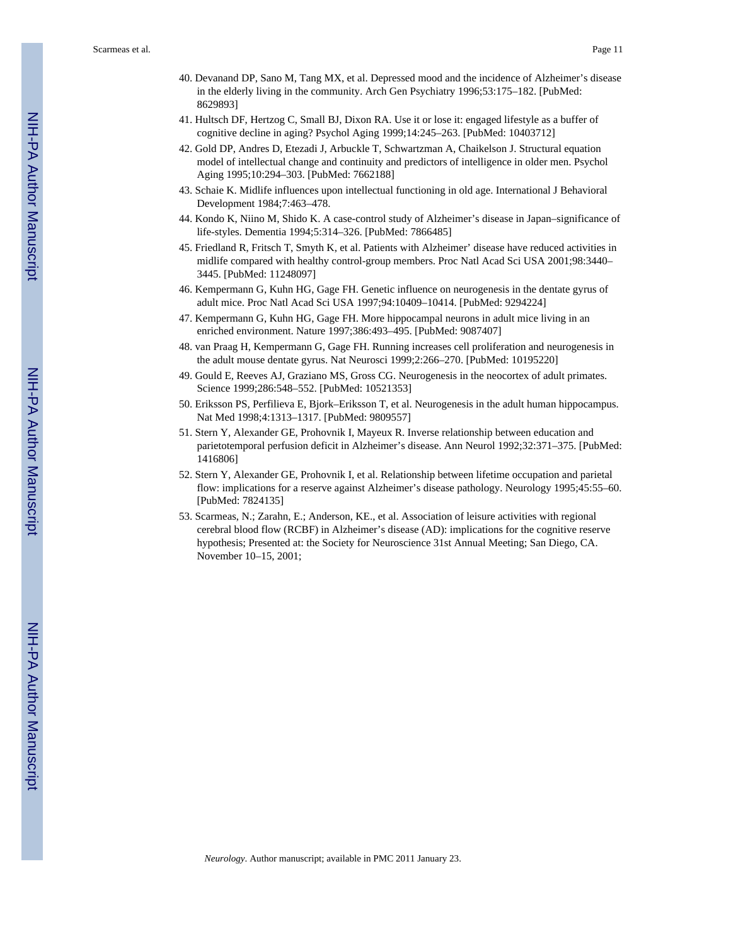- 40. Devanand DP, Sano M, Tang MX, et al. Depressed mood and the incidence of Alzheimer's disease in the elderly living in the community. Arch Gen Psychiatry 1996;53:175–182. [PubMed: 8629893]
- 41. Hultsch DF, Hertzog C, Small BJ, Dixon RA. Use it or lose it: engaged lifestyle as a buffer of cognitive decline in aging? Psychol Aging 1999;14:245–263. [PubMed: 10403712]
- 42. Gold DP, Andres D, Etezadi J, Arbuckle T, Schwartzman A, Chaikelson J. Structural equation model of intellectual change and continuity and predictors of intelligence in older men. Psychol Aging 1995;10:294–303. [PubMed: 7662188]
- 43. Schaie K. Midlife influences upon intellectual functioning in old age. International J Behavioral Development 1984;7:463–478.
- 44. Kondo K, Niino M, Shido K. A case-control study of Alzheimer's disease in Japan–significance of life-styles. Dementia 1994;5:314–326. [PubMed: 7866485]
- 45. Friedland R, Fritsch T, Smyth K, et al. Patients with Alzheimer' disease have reduced activities in midlife compared with healthy control-group members. Proc Natl Acad Sci USA 2001;98:3440– 3445. [PubMed: 11248097]
- 46. Kempermann G, Kuhn HG, Gage FH. Genetic influence on neurogenesis in the dentate gyrus of adult mice. Proc Natl Acad Sci USA 1997;94:10409–10414. [PubMed: 9294224]
- 47. Kempermann G, Kuhn HG, Gage FH. More hippocampal neurons in adult mice living in an enriched environment. Nature 1997;386:493–495. [PubMed: 9087407]
- 48. van Praag H, Kempermann G, Gage FH. Running increases cell proliferation and neurogenesis in the adult mouse dentate gyrus. Nat Neurosci 1999;2:266–270. [PubMed: 10195220]
- 49. Gould E, Reeves AJ, Graziano MS, Gross CG. Neurogenesis in the neocortex of adult primates. Science 1999;286:548–552. [PubMed: 10521353]
- 50. Eriksson PS, Perfilieva E, Bjork–Eriksson T, et al. Neurogenesis in the adult human hippocampus. Nat Med 1998;4:1313–1317. [PubMed: 9809557]
- 51. Stern Y, Alexander GE, Prohovnik I, Mayeux R. Inverse relationship between education and parietotemporal perfusion deficit in Alzheimer's disease. Ann Neurol 1992;32:371–375. [PubMed: 1416806]
- 52. Stern Y, Alexander GE, Prohovnik I, et al. Relationship between lifetime occupation and parietal flow: implications for a reserve against Alzheimer's disease pathology. Neurology 1995;45:55–60. [PubMed: 7824135]
- 53. Scarmeas, N.; Zarahn, E.; Anderson, KE., et al. Association of leisure activities with regional cerebral blood flow (RCBF) in Alzheimer's disease (AD): implications for the cognitive reserve hypothesis; Presented at: the Society for Neuroscience 31st Annual Meeting; San Diego, CA. November 10–15, 2001;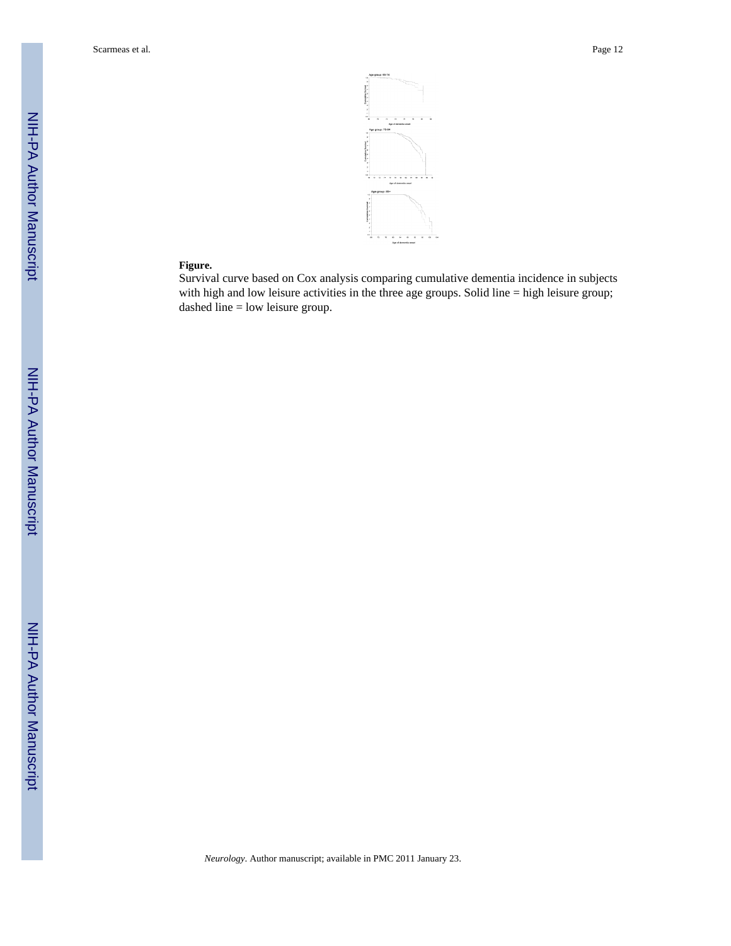

#### **Figure.**

Survival curve based on Cox analysis comparing cumulative dementia incidence in subjects with high and low leisure activities in the three age groups. Solid line = high leisure group; dashed line = low leisure group.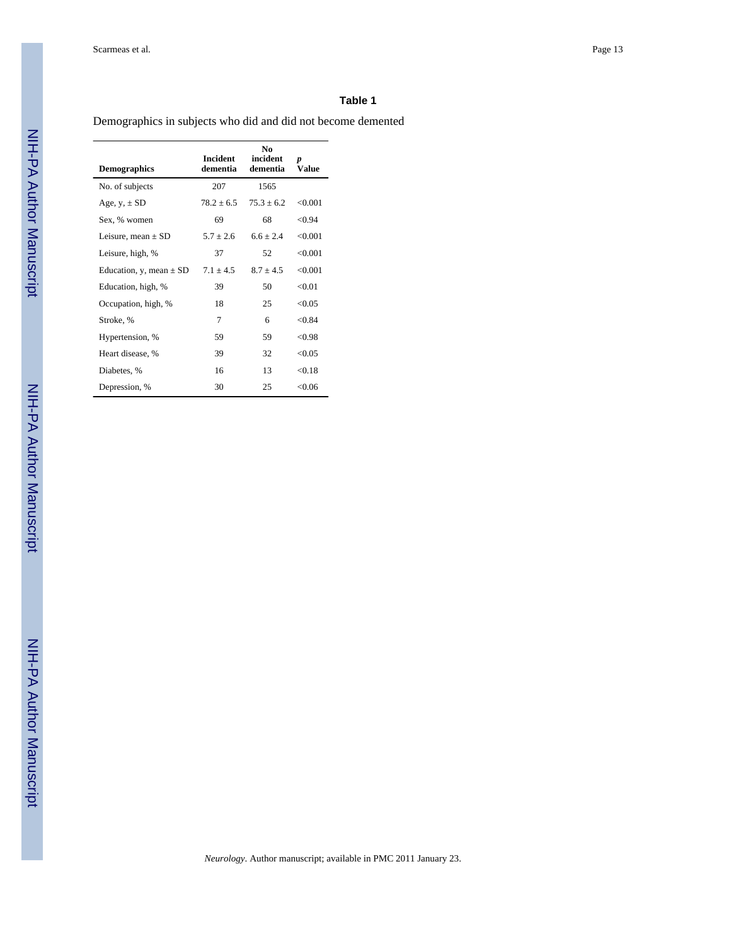#### **Table 1**

Demographics in subjects who did and did not become demented

| <b>Demographics</b>         | <b>Incident</b><br>dementia | No.<br>incident<br>dementia | D<br>Value |
|-----------------------------|-----------------------------|-----------------------------|------------|
| No. of subjects             | 207                         | 1565                        |            |
| Age, $y, \pm SD$            | $78.2 + 6.5$                | $753 + 62$                  | < 0.001    |
| Sex, % women                | 69                          | 68                          | < 0.94     |
| Leisure, mean $\pm$ SD      | $5.7 + 2.6$                 | $66 + 24$                   | < 0.001    |
| Leisure, high, %            | 37                          | 52                          | < 0.001    |
| Education, y, mean $\pm$ SD | $7.1 + 4.5$                 | $8.7 + 4.5$                 | < 0.001    |
| Education, high, %          | 39                          | 50                          | < 0.01     |
| Occupation, high, %         | 18                          | 25                          | < 0.05     |
| Stroke, %                   | 7                           | 6                           | < 0.84     |
| Hypertension, %             | 59                          | 59                          | < 0.98     |
| Heart disease, %            | 39                          | 32                          | <0.05      |
| Diabetes, %                 | 16                          | 13                          | < 0.18     |
| Depression, %               | 30                          | 25                          | < 0.06     |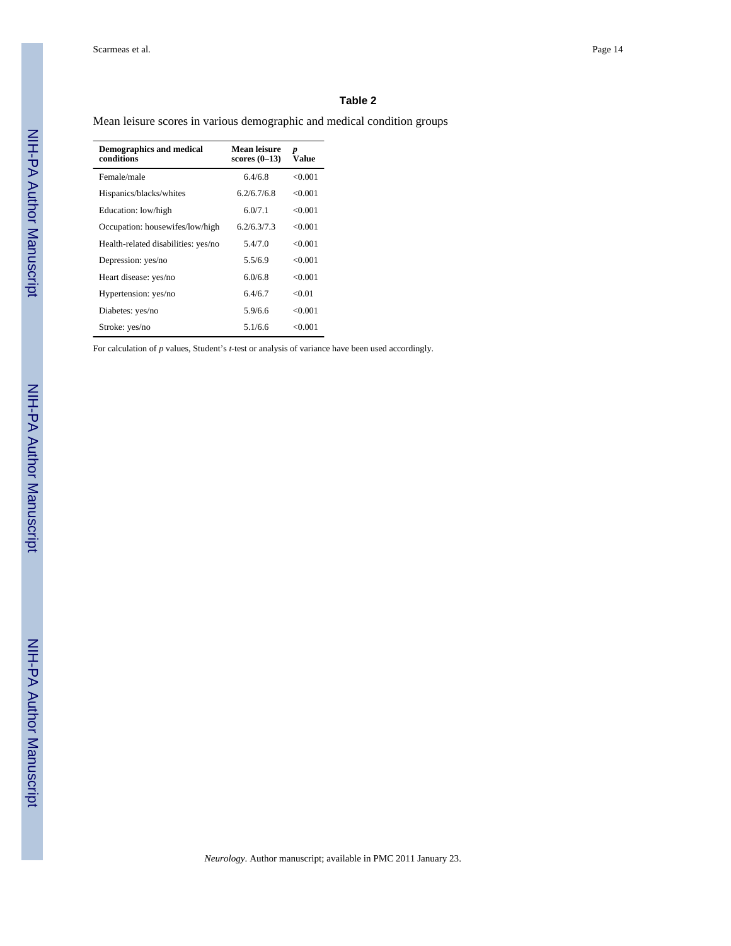#### **Table 2**

Mean leisure scores in various demographic and medical condition groups

| <b>Demographics and medical</b><br>conditions | Mean leisure<br>scores $(0-13)$ | p<br>Value |
|-----------------------------------------------|---------------------------------|------------|
| Female/male                                   | 64/68                           | <0.001     |
| Hispanics/blacks/whites                       | 6.2/6.7/6.8                     | <0.001     |
| Education: low/high                           | 60/71                           | <0.001     |
| Occupation: housewifes/low/high               | 6.2/6.3/7.3                     | <0.001     |
| Health-related disabilities: yes/no           | 54/70                           | <0.001     |
| Depression: yes/no                            | 5.5/6.9                         | <0.001     |
| Heart disease: yes/no                         | 6.0/6.8                         | <0.001     |
| Hypertension: yes/no                          | 64/67                           | <0.01      |
| Diabetes: yes/no                              | 5.9/6.6                         | <0.001     |
| Stroke: yes/no                                | 5.1/6.6                         | <0.001     |

For calculation of *p* values, Student's *t*-test or analysis of variance have been used accordingly.